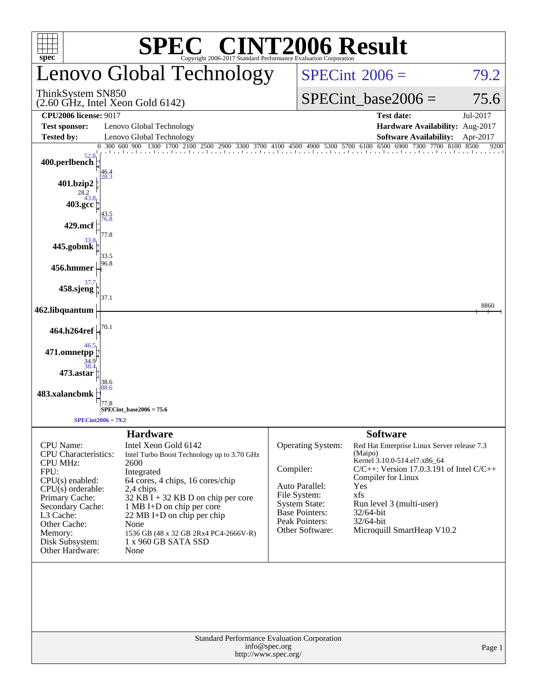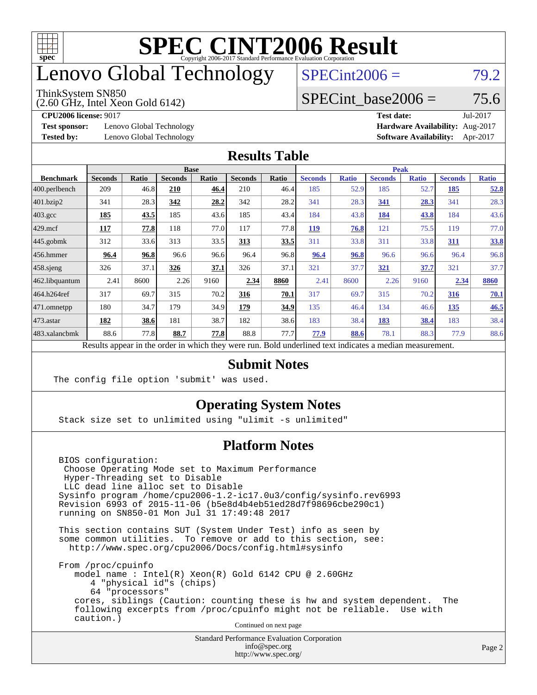

## enovo Global Technology

#### ThinkSystem SN850

(2.60 GHz, Intel Xeon Gold 6142)

 $SPECint2006 = 79.2$  $SPECint2006 = 79.2$ 

#### SPECint base2006 =  $75.6$

**[Test sponsor:](http://www.spec.org/auto/cpu2006/Docs/result-fields.html#Testsponsor)** Lenovo Global Technology **[Hardware Availability:](http://www.spec.org/auto/cpu2006/Docs/result-fields.html#HardwareAvailability)** Aug-2017

**[CPU2006 license:](http://www.spec.org/auto/cpu2006/Docs/result-fields.html#CPU2006license)** 9017 **[Test date:](http://www.spec.org/auto/cpu2006/Docs/result-fields.html#Testdate)** Jul-2017 **[Tested by:](http://www.spec.org/auto/cpu2006/Docs/result-fields.html#Testedby)** Lenovo Global Technology **[Software Availability:](http://www.spec.org/auto/cpu2006/Docs/result-fields.html#SoftwareAvailability)** Apr-2017

#### **[Results Table](http://www.spec.org/auto/cpu2006/Docs/result-fields.html#ResultsTable)**

|                                                                                                          |                |              | <b>Base</b>    |              |                |       |                |              | <b>Peak</b>    |              |                |              |
|----------------------------------------------------------------------------------------------------------|----------------|--------------|----------------|--------------|----------------|-------|----------------|--------------|----------------|--------------|----------------|--------------|
| <b>Benchmark</b>                                                                                         | <b>Seconds</b> | <b>Ratio</b> | <b>Seconds</b> | <b>Ratio</b> | <b>Seconds</b> | Ratio | <b>Seconds</b> | <b>Ratio</b> | <b>Seconds</b> | <b>Ratio</b> | <b>Seconds</b> | <b>Ratio</b> |
| $ 400$ .perlbench                                                                                        | 209            | 46.8         | 210            | 46.4         | 210            | 46.4  | 185            | 52.9         | 185            | 52.7         | 185            | 52.8         |
| $401$ .bzip2                                                                                             | 341            | 28.3         | 342            | 28.2         | 342            | 28.2  | 341            | 28.3         | 341            | 28.3         | 341            | 28.3         |
| $403.\text{gcc}$                                                                                         | 185            | 43.5         | 185            | 43.6         | 185            | 43.4  | 184            | 43.8         | 184            | 43.8         | 184            | 43.6         |
| $429$ mcf                                                                                                | 117            | 77.8         | 118            | 77.0         | 117            | 77.8  | <b>119</b>     | 76.8         | 121            | 75.5         | 119            | 77.0         |
| $445$ .gobmk                                                                                             | 312            | 33.6         | 313            | 33.5         | 313            | 33.5  | 311            | 33.8         | 311            | 33.8         | 311            | 33.8         |
| $456.$ hmmer                                                                                             | 96.4           | 96.8         | 96.6           | 96.6         | 96.4           | 96.8  | 96.4           | 96.8         | 96.6           | 96.6         | 96.4           | 96.8         |
| $458$ .sjeng                                                                                             | 326            | 37.1         | 326            | 37.1         | 326            | 37.1  | 321            | 37.7         | 321            | 37.7         | 321            | 37.7         |
| 462.libquantum                                                                                           | 2.41           | 8600         | 2.26           | 9160         | 2.34           | 8860  | 2.41           | 8600         | 2.26           | 9160         | 2.34           | 8860         |
| 464.h264ref                                                                                              | 317            | 69.7         | 315            | 70.2         | 316            | 70.1  | 317            | 69.7         | 315            | 70.2         | 316            | 70.1         |
| 471.omnetpp                                                                                              | 180            | 34.7         | 179            | 34.9         | 179            | 34.9  | 135            | 46.4         | 134            | 46.6         | 135            | 46.5         |
| $ 473$ . astar                                                                                           | 182            | 38.6         | 181            | 38.7         | 182            | 38.6  | 183            | 38.4         | 183            | 38.4         | 183            | 38.4         |
| 483.xalancbmk                                                                                            | 88.6           | 77.8         | 88.7           | 77.8         | 88.8           | 77.7  | 77.9           | 88.6         | 78.1           | 88.3         | 77.9           | 88.6         |
| Results appear in the order in which they were run. Bold underlined text indicates a median measurement. |                |              |                |              |                |       |                |              |                |              |                |              |

#### **[Submit Notes](http://www.spec.org/auto/cpu2006/Docs/result-fields.html#SubmitNotes)**

The config file option 'submit' was used.

#### **[Operating System Notes](http://www.spec.org/auto/cpu2006/Docs/result-fields.html#OperatingSystemNotes)**

Stack size set to unlimited using "ulimit -s unlimited"

#### **[Platform Notes](http://www.spec.org/auto/cpu2006/Docs/result-fields.html#PlatformNotes)**

 BIOS configuration: Choose Operating Mode set to Maximum Performance Hyper-Threading set to Disable LLC dead line alloc set to Disable Sysinfo program /home/cpu2006-1.2-ic17.0u3/config/sysinfo.rev6993 Revision 6993 of 2015-11-06 (b5e8d4b4eb51ed28d7f98696cbe290c1) running on SN850-01 Mon Jul 31 17:49:48 2017

 This section contains SUT (System Under Test) info as seen by some common utilities. To remove or add to this section, see: <http://www.spec.org/cpu2006/Docs/config.html#sysinfo>

 From /proc/cpuinfo model name : Intel(R) Xeon(R) Gold 6142 CPU @ 2.60GHz 4 "physical id"s (chips) 64 "processors" cores, siblings (Caution: counting these is hw and system dependent. The following excerpts from /proc/cpuinfo might not be reliable. Use with caution.)

Continued on next page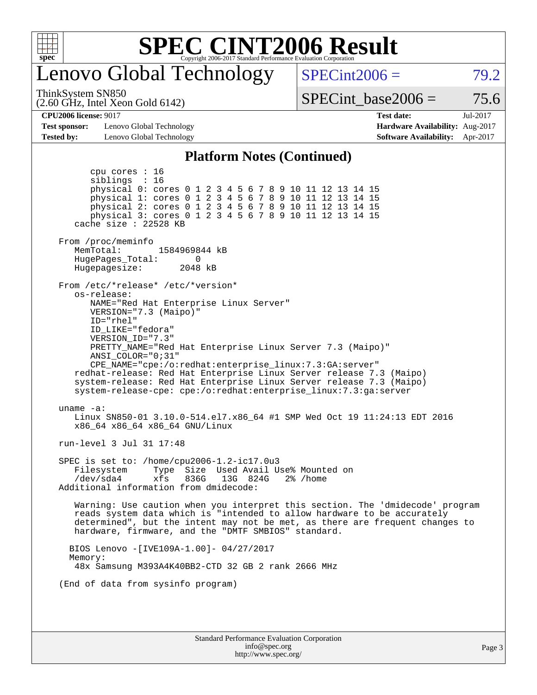

### enovo Global Technology

 $SPECint2006 = 79.2$  $SPECint2006 = 79.2$ 

(2.60 GHz, Intel Xeon Gold 6142) ThinkSystem SN850

SPECint base2006 =  $75.6$ 

**[Test sponsor:](http://www.spec.org/auto/cpu2006/Docs/result-fields.html#Testsponsor)** Lenovo Global Technology **[Hardware Availability:](http://www.spec.org/auto/cpu2006/Docs/result-fields.html#HardwareAvailability)** Aug-2017 **[Tested by:](http://www.spec.org/auto/cpu2006/Docs/result-fields.html#Testedby)** Lenovo Global Technology **[Software Availability:](http://www.spec.org/auto/cpu2006/Docs/result-fields.html#SoftwareAvailability)** Apr-2017

**[CPU2006 license:](http://www.spec.org/auto/cpu2006/Docs/result-fields.html#CPU2006license)** 9017 **[Test date:](http://www.spec.org/auto/cpu2006/Docs/result-fields.html#Testdate)** Jul-2017

#### **[Platform Notes \(Continued\)](http://www.spec.org/auto/cpu2006/Docs/result-fields.html#PlatformNotes)**

Standard Performance Evaluation Corporation [info@spec.org](mailto:info@spec.org) <http://www.spec.org/> Page 3 cpu cores : 16 siblings : 16 physical 0: cores 0 1 2 3 4 5 6 7 8 9 10 11 12 13 14 15 physical 1: cores 0 1 2 3 4 5 6 7 8 9 10 11 12 13 14 15 physical 2: cores 0 1 2 3 4 5 6 7 8 9 10 11 12 13 14 15 physical 3: cores 0 1 2 3 4 5 6 7 8 9 10 11 12 13 14 15 cache size : 22528 KB From /proc/meminfo MemTotal: 1584969844 kB<br>HugePages Total: 0 HugePages\_Total: 0 Hugepagesize: 2048 kB From /etc/\*release\* /etc/\*version\* os-release: NAME="Red Hat Enterprise Linux Server" VERSION="7.3 (Maipo)" ID="rhel" ID\_LIKE="fedora" VERSION\_ID="7.3" PRETTY\_NAME="Red Hat Enterprise Linux Server 7.3 (Maipo)" ANSI\_COLOR="0;31" CPE\_NAME="cpe:/o:redhat:enterprise\_linux:7.3:GA:server" redhat-release: Red Hat Enterprise Linux Server release 7.3 (Maipo) system-release: Red Hat Enterprise Linux Server release 7.3 (Maipo) system-release-cpe: cpe:/o:redhat:enterprise\_linux:7.3:ga:server uname -a: Linux SN850-01 3.10.0-514.el7.x86\_64 #1 SMP Wed Oct 19 11:24:13 EDT 2016 x86\_64 x86\_64 x86\_64 GNU/Linux run-level 3 Jul 31 17:48 SPEC is set to: /home/cpu2006-1.2-ic17.0u3 Filesystem Type Size Used Avail Use% Mounted on /dev/sda4 xfs 836G 13G 824G 2% /home Additional information from dmidecode: Warning: Use caution when you interpret this section. The 'dmidecode' program reads system data which is "intended to allow hardware to be accurately determined", but the intent may not be met, as there are frequent changes to hardware, firmware, and the "DMTF SMBIOS" standard. BIOS Lenovo -[IVE109A-1.00]- 04/27/2017 Memory: 48x Samsung M393A4K40BB2-CTD 32 GB 2 rank 2666 MHz (End of data from sysinfo program)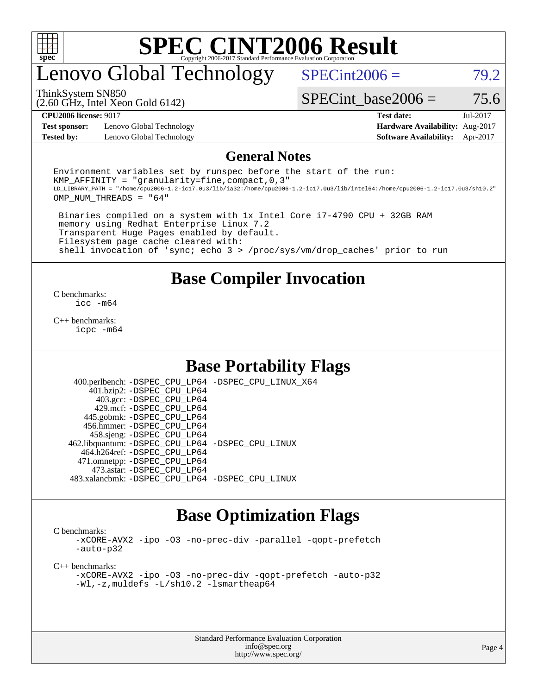

### enovo Global Technology

 $SPECint2006 = 79.2$  $SPECint2006 = 79.2$ 

(2.60 GHz, Intel Xeon Gold 6142) ThinkSystem SN850

SPECint base2006 =  $75.6$ 

**[Test sponsor:](http://www.spec.org/auto/cpu2006/Docs/result-fields.html#Testsponsor)** Lenovo Global Technology **[Hardware Availability:](http://www.spec.org/auto/cpu2006/Docs/result-fields.html#HardwareAvailability)** Aug-2017 **[Tested by:](http://www.spec.org/auto/cpu2006/Docs/result-fields.html#Testedby)** Lenovo Global Technology **[Software Availability:](http://www.spec.org/auto/cpu2006/Docs/result-fields.html#SoftwareAvailability)** Apr-2017

**[CPU2006 license:](http://www.spec.org/auto/cpu2006/Docs/result-fields.html#CPU2006license)** 9017 **[Test date:](http://www.spec.org/auto/cpu2006/Docs/result-fields.html#Testdate)** Jul-2017

#### **[General Notes](http://www.spec.org/auto/cpu2006/Docs/result-fields.html#GeneralNotes)**

Environment variables set by runspec before the start of the run: KMP AFFINITY = "granularity=fine, compact,  $0,3$ " LD\_LIBRARY\_PATH = "/home/cpu2006-1.2-ic17.0u3/lib/ia32:/home/cpu2006-1.2-ic17.0u3/lib/intel64:/home/cpu2006-1.2-ic17.0u3/sh10.2" OMP\_NUM\_THREADS = "64"

 Binaries compiled on a system with 1x Intel Core i7-4790 CPU + 32GB RAM memory using Redhat Enterprise Linux 7.2 Transparent Huge Pages enabled by default. Filesystem page cache cleared with: shell invocation of 'sync; echo 3 > /proc/sys/vm/drop\_caches' prior to run

#### **[Base Compiler Invocation](http://www.spec.org/auto/cpu2006/Docs/result-fields.html#BaseCompilerInvocation)**

[C benchmarks](http://www.spec.org/auto/cpu2006/Docs/result-fields.html#Cbenchmarks): [icc -m64](http://www.spec.org/cpu2006/results/res2017q4/cpu2006-20170918-50027.flags.html#user_CCbase_intel_icc_64bit_bda6cc9af1fdbb0edc3795bac97ada53)

[C++ benchmarks:](http://www.spec.org/auto/cpu2006/Docs/result-fields.html#CXXbenchmarks) [icpc -m64](http://www.spec.org/cpu2006/results/res2017q4/cpu2006-20170918-50027.flags.html#user_CXXbase_intel_icpc_64bit_fc66a5337ce925472a5c54ad6a0de310)

#### **[Base Portability Flags](http://www.spec.org/auto/cpu2006/Docs/result-fields.html#BasePortabilityFlags)**

 400.perlbench: [-DSPEC\\_CPU\\_LP64](http://www.spec.org/cpu2006/results/res2017q4/cpu2006-20170918-50027.flags.html#b400.perlbench_basePORTABILITY_DSPEC_CPU_LP64) [-DSPEC\\_CPU\\_LINUX\\_X64](http://www.spec.org/cpu2006/results/res2017q4/cpu2006-20170918-50027.flags.html#b400.perlbench_baseCPORTABILITY_DSPEC_CPU_LINUX_X64) 401.bzip2: [-DSPEC\\_CPU\\_LP64](http://www.spec.org/cpu2006/results/res2017q4/cpu2006-20170918-50027.flags.html#suite_basePORTABILITY401_bzip2_DSPEC_CPU_LP64) 403.gcc: [-DSPEC\\_CPU\\_LP64](http://www.spec.org/cpu2006/results/res2017q4/cpu2006-20170918-50027.flags.html#suite_basePORTABILITY403_gcc_DSPEC_CPU_LP64) 429.mcf: [-DSPEC\\_CPU\\_LP64](http://www.spec.org/cpu2006/results/res2017q4/cpu2006-20170918-50027.flags.html#suite_basePORTABILITY429_mcf_DSPEC_CPU_LP64) 445.gobmk: [-DSPEC\\_CPU\\_LP64](http://www.spec.org/cpu2006/results/res2017q4/cpu2006-20170918-50027.flags.html#suite_basePORTABILITY445_gobmk_DSPEC_CPU_LP64) 456.hmmer: [-DSPEC\\_CPU\\_LP64](http://www.spec.org/cpu2006/results/res2017q4/cpu2006-20170918-50027.flags.html#suite_basePORTABILITY456_hmmer_DSPEC_CPU_LP64) 458.sjeng: [-DSPEC\\_CPU\\_LP64](http://www.spec.org/cpu2006/results/res2017q4/cpu2006-20170918-50027.flags.html#suite_basePORTABILITY458_sjeng_DSPEC_CPU_LP64) 462.libquantum: [-DSPEC\\_CPU\\_LP64](http://www.spec.org/cpu2006/results/res2017q4/cpu2006-20170918-50027.flags.html#suite_basePORTABILITY462_libquantum_DSPEC_CPU_LP64) [-DSPEC\\_CPU\\_LINUX](http://www.spec.org/cpu2006/results/res2017q4/cpu2006-20170918-50027.flags.html#b462.libquantum_baseCPORTABILITY_DSPEC_CPU_LINUX) 464.h264ref: [-DSPEC\\_CPU\\_LP64](http://www.spec.org/cpu2006/results/res2017q4/cpu2006-20170918-50027.flags.html#suite_basePORTABILITY464_h264ref_DSPEC_CPU_LP64) 471.omnetpp: [-DSPEC\\_CPU\\_LP64](http://www.spec.org/cpu2006/results/res2017q4/cpu2006-20170918-50027.flags.html#suite_basePORTABILITY471_omnetpp_DSPEC_CPU_LP64) 473.astar: [-DSPEC\\_CPU\\_LP64](http://www.spec.org/cpu2006/results/res2017q4/cpu2006-20170918-50027.flags.html#suite_basePORTABILITY473_astar_DSPEC_CPU_LP64) 483.xalancbmk: [-DSPEC\\_CPU\\_LP64](http://www.spec.org/cpu2006/results/res2017q4/cpu2006-20170918-50027.flags.html#suite_basePORTABILITY483_xalancbmk_DSPEC_CPU_LP64) [-DSPEC\\_CPU\\_LINUX](http://www.spec.org/cpu2006/results/res2017q4/cpu2006-20170918-50027.flags.html#b483.xalancbmk_baseCXXPORTABILITY_DSPEC_CPU_LINUX)

#### **[Base Optimization Flags](http://www.spec.org/auto/cpu2006/Docs/result-fields.html#BaseOptimizationFlags)**

[C benchmarks](http://www.spec.org/auto/cpu2006/Docs/result-fields.html#Cbenchmarks):

[-xCORE-AVX2](http://www.spec.org/cpu2006/results/res2017q4/cpu2006-20170918-50027.flags.html#user_CCbase_f-xCORE-AVX2) [-ipo](http://www.spec.org/cpu2006/results/res2017q4/cpu2006-20170918-50027.flags.html#user_CCbase_f-ipo) [-O3](http://www.spec.org/cpu2006/results/res2017q4/cpu2006-20170918-50027.flags.html#user_CCbase_f-O3) [-no-prec-div](http://www.spec.org/cpu2006/results/res2017q4/cpu2006-20170918-50027.flags.html#user_CCbase_f-no-prec-div) [-parallel](http://www.spec.org/cpu2006/results/res2017q4/cpu2006-20170918-50027.flags.html#user_CCbase_f-parallel) [-qopt-prefetch](http://www.spec.org/cpu2006/results/res2017q4/cpu2006-20170918-50027.flags.html#user_CCbase_f-qopt-prefetch) [-auto-p32](http://www.spec.org/cpu2006/results/res2017q4/cpu2006-20170918-50027.flags.html#user_CCbase_f-auto-p32)

[C++ benchmarks:](http://www.spec.org/auto/cpu2006/Docs/result-fields.html#CXXbenchmarks)

[-xCORE-AVX2](http://www.spec.org/cpu2006/results/res2017q4/cpu2006-20170918-50027.flags.html#user_CXXbase_f-xCORE-AVX2) [-ipo](http://www.spec.org/cpu2006/results/res2017q4/cpu2006-20170918-50027.flags.html#user_CXXbase_f-ipo) [-O3](http://www.spec.org/cpu2006/results/res2017q4/cpu2006-20170918-50027.flags.html#user_CXXbase_f-O3) [-no-prec-div](http://www.spec.org/cpu2006/results/res2017q4/cpu2006-20170918-50027.flags.html#user_CXXbase_f-no-prec-div) [-qopt-prefetch](http://www.spec.org/cpu2006/results/res2017q4/cpu2006-20170918-50027.flags.html#user_CXXbase_f-qopt-prefetch) [-auto-p32](http://www.spec.org/cpu2006/results/res2017q4/cpu2006-20170918-50027.flags.html#user_CXXbase_f-auto-p32) [-Wl,-z,muldefs](http://www.spec.org/cpu2006/results/res2017q4/cpu2006-20170918-50027.flags.html#user_CXXbase_link_force_multiple1_74079c344b956b9658436fd1b6dd3a8a) [-L/sh10.2 -lsmartheap64](http://www.spec.org/cpu2006/results/res2017q4/cpu2006-20170918-50027.flags.html#user_CXXbase_SmartHeap64_63911d860fc08c15fa1d5bf319b9d8d5)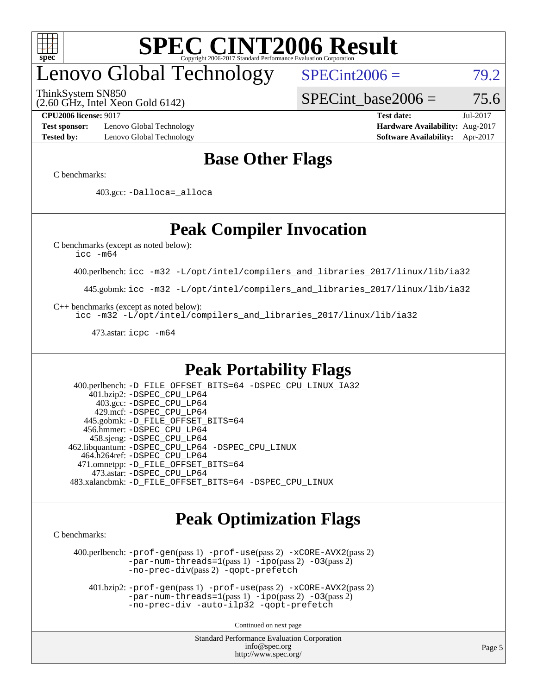

# enovo Global Technology

ThinkSystem SN850

(2.60 GHz, Intel Xeon Gold 6142)

 $SPECint2006 = 79.2$  $SPECint2006 = 79.2$ 

SPECint base2006 =  $75.6$ 

**[Test sponsor:](http://www.spec.org/auto/cpu2006/Docs/result-fields.html#Testsponsor)** Lenovo Global Technology **[Hardware Availability:](http://www.spec.org/auto/cpu2006/Docs/result-fields.html#HardwareAvailability)** Aug-2017 **[Tested by:](http://www.spec.org/auto/cpu2006/Docs/result-fields.html#Testedby)** Lenovo Global Technology **[Software Availability:](http://www.spec.org/auto/cpu2006/Docs/result-fields.html#SoftwareAvailability)** Apr-2017

**[CPU2006 license:](http://www.spec.org/auto/cpu2006/Docs/result-fields.html#CPU2006license)** 9017 **[Test date:](http://www.spec.org/auto/cpu2006/Docs/result-fields.html#Testdate)** Jul-2017

### **[Base Other Flags](http://www.spec.org/auto/cpu2006/Docs/result-fields.html#BaseOtherFlags)**

[C benchmarks](http://www.spec.org/auto/cpu2006/Docs/result-fields.html#Cbenchmarks):

403.gcc: [-Dalloca=\\_alloca](http://www.spec.org/cpu2006/results/res2017q4/cpu2006-20170918-50027.flags.html#b403.gcc_baseEXTRA_CFLAGS_Dalloca_be3056838c12de2578596ca5467af7f3)

### **[Peak Compiler Invocation](http://www.spec.org/auto/cpu2006/Docs/result-fields.html#PeakCompilerInvocation)**

[C benchmarks \(except as noted below\)](http://www.spec.org/auto/cpu2006/Docs/result-fields.html#Cbenchmarksexceptasnotedbelow):

[icc -m64](http://www.spec.org/cpu2006/results/res2017q4/cpu2006-20170918-50027.flags.html#user_CCpeak_intel_icc_64bit_bda6cc9af1fdbb0edc3795bac97ada53)

400.perlbench: [icc -m32 -L/opt/intel/compilers\\_and\\_libraries\\_2017/linux/lib/ia32](http://www.spec.org/cpu2006/results/res2017q4/cpu2006-20170918-50027.flags.html#user_peakCCLD400_perlbench_intel_icc_c29f3ff5a7ed067b11e4ec10a03f03ae)

445.gobmk: [icc -m32 -L/opt/intel/compilers\\_and\\_libraries\\_2017/linux/lib/ia32](http://www.spec.org/cpu2006/results/res2017q4/cpu2006-20170918-50027.flags.html#user_peakCCLD445_gobmk_intel_icc_c29f3ff5a7ed067b11e4ec10a03f03ae)

[C++ benchmarks \(except as noted below\):](http://www.spec.org/auto/cpu2006/Docs/result-fields.html#CXXbenchmarksexceptasnotedbelow)

[icc -m32 -L/opt/intel/compilers\\_and\\_libraries\\_2017/linux/lib/ia32](http://www.spec.org/cpu2006/results/res2017q4/cpu2006-20170918-50027.flags.html#user_CXXpeak_intel_icc_c29f3ff5a7ed067b11e4ec10a03f03ae)

473.astar: [icpc -m64](http://www.spec.org/cpu2006/results/res2017q4/cpu2006-20170918-50027.flags.html#user_peakCXXLD473_astar_intel_icpc_64bit_fc66a5337ce925472a5c54ad6a0de310)

#### **[Peak Portability Flags](http://www.spec.org/auto/cpu2006/Docs/result-fields.html#PeakPortabilityFlags)**

 400.perlbench: [-D\\_FILE\\_OFFSET\\_BITS=64](http://www.spec.org/cpu2006/results/res2017q4/cpu2006-20170918-50027.flags.html#user_peakPORTABILITY400_perlbench_file_offset_bits_64_438cf9856305ebd76870a2c6dc2689ab) [-DSPEC\\_CPU\\_LINUX\\_IA32](http://www.spec.org/cpu2006/results/res2017q4/cpu2006-20170918-50027.flags.html#b400.perlbench_peakCPORTABILITY_DSPEC_CPU_LINUX_IA32) 401.bzip2: [-DSPEC\\_CPU\\_LP64](http://www.spec.org/cpu2006/results/res2017q4/cpu2006-20170918-50027.flags.html#suite_peakPORTABILITY401_bzip2_DSPEC_CPU_LP64) 403.gcc: [-DSPEC\\_CPU\\_LP64](http://www.spec.org/cpu2006/results/res2017q4/cpu2006-20170918-50027.flags.html#suite_peakPORTABILITY403_gcc_DSPEC_CPU_LP64) 429.mcf: [-DSPEC\\_CPU\\_LP64](http://www.spec.org/cpu2006/results/res2017q4/cpu2006-20170918-50027.flags.html#suite_peakPORTABILITY429_mcf_DSPEC_CPU_LP64) 445.gobmk: [-D\\_FILE\\_OFFSET\\_BITS=64](http://www.spec.org/cpu2006/results/res2017q4/cpu2006-20170918-50027.flags.html#user_peakPORTABILITY445_gobmk_file_offset_bits_64_438cf9856305ebd76870a2c6dc2689ab) 456.hmmer: [-DSPEC\\_CPU\\_LP64](http://www.spec.org/cpu2006/results/res2017q4/cpu2006-20170918-50027.flags.html#suite_peakPORTABILITY456_hmmer_DSPEC_CPU_LP64) 458.sjeng: [-DSPEC\\_CPU\\_LP64](http://www.spec.org/cpu2006/results/res2017q4/cpu2006-20170918-50027.flags.html#suite_peakPORTABILITY458_sjeng_DSPEC_CPU_LP64) 462.libquantum: [-DSPEC\\_CPU\\_LP64](http://www.spec.org/cpu2006/results/res2017q4/cpu2006-20170918-50027.flags.html#suite_peakPORTABILITY462_libquantum_DSPEC_CPU_LP64) [-DSPEC\\_CPU\\_LINUX](http://www.spec.org/cpu2006/results/res2017q4/cpu2006-20170918-50027.flags.html#b462.libquantum_peakCPORTABILITY_DSPEC_CPU_LINUX) 464.h264ref: [-DSPEC\\_CPU\\_LP64](http://www.spec.org/cpu2006/results/res2017q4/cpu2006-20170918-50027.flags.html#suite_peakPORTABILITY464_h264ref_DSPEC_CPU_LP64) 471.omnetpp: [-D\\_FILE\\_OFFSET\\_BITS=64](http://www.spec.org/cpu2006/results/res2017q4/cpu2006-20170918-50027.flags.html#user_peakPORTABILITY471_omnetpp_file_offset_bits_64_438cf9856305ebd76870a2c6dc2689ab) 473.astar: [-DSPEC\\_CPU\\_LP64](http://www.spec.org/cpu2006/results/res2017q4/cpu2006-20170918-50027.flags.html#suite_peakPORTABILITY473_astar_DSPEC_CPU_LP64) 483.xalancbmk: [-D\\_FILE\\_OFFSET\\_BITS=64](http://www.spec.org/cpu2006/results/res2017q4/cpu2006-20170918-50027.flags.html#user_peakPORTABILITY483_xalancbmk_file_offset_bits_64_438cf9856305ebd76870a2c6dc2689ab) [-DSPEC\\_CPU\\_LINUX](http://www.spec.org/cpu2006/results/res2017q4/cpu2006-20170918-50027.flags.html#b483.xalancbmk_peakCXXPORTABILITY_DSPEC_CPU_LINUX)

#### **[Peak Optimization Flags](http://www.spec.org/auto/cpu2006/Docs/result-fields.html#PeakOptimizationFlags)**

[C benchmarks](http://www.spec.org/auto/cpu2006/Docs/result-fields.html#Cbenchmarks):

 400.perlbench: [-prof-gen](http://www.spec.org/cpu2006/results/res2017q4/cpu2006-20170918-50027.flags.html#user_peakPASS1_CFLAGSPASS1_LDCFLAGS400_perlbench_prof_gen_e43856698f6ca7b7e442dfd80e94a8fc)(pass 1) [-prof-use](http://www.spec.org/cpu2006/results/res2017q4/cpu2006-20170918-50027.flags.html#user_peakPASS2_CFLAGSPASS2_LDCFLAGS400_perlbench_prof_use_bccf7792157ff70d64e32fe3e1250b55)(pass 2) [-xCORE-AVX2](http://www.spec.org/cpu2006/results/res2017q4/cpu2006-20170918-50027.flags.html#user_peakPASS2_CFLAGSPASS2_LDCFLAGS400_perlbench_f-xCORE-AVX2)(pass 2) [-par-num-threads=1](http://www.spec.org/cpu2006/results/res2017q4/cpu2006-20170918-50027.flags.html#user_peakPASS1_CFLAGSPASS1_LDCFLAGS400_perlbench_par_num_threads_786a6ff141b4e9e90432e998842df6c2)(pass 1) [-ipo](http://www.spec.org/cpu2006/results/res2017q4/cpu2006-20170918-50027.flags.html#user_peakPASS2_CFLAGSPASS2_LDCFLAGS400_perlbench_f-ipo)(pass 2) [-O3](http://www.spec.org/cpu2006/results/res2017q4/cpu2006-20170918-50027.flags.html#user_peakPASS2_CFLAGSPASS2_LDCFLAGS400_perlbench_f-O3)(pass 2) [-no-prec-div](http://www.spec.org/cpu2006/results/res2017q4/cpu2006-20170918-50027.flags.html#user_peakPASS2_CFLAGSPASS2_LDCFLAGS400_perlbench_f-no-prec-div)(pass 2) [-qopt-prefetch](http://www.spec.org/cpu2006/results/res2017q4/cpu2006-20170918-50027.flags.html#user_peakCOPTIMIZE400_perlbench_f-qopt-prefetch)

 401.bzip2: [-prof-gen](http://www.spec.org/cpu2006/results/res2017q4/cpu2006-20170918-50027.flags.html#user_peakPASS1_CFLAGSPASS1_LDCFLAGS401_bzip2_prof_gen_e43856698f6ca7b7e442dfd80e94a8fc)(pass 1) [-prof-use](http://www.spec.org/cpu2006/results/res2017q4/cpu2006-20170918-50027.flags.html#user_peakPASS2_CFLAGSPASS2_LDCFLAGS401_bzip2_prof_use_bccf7792157ff70d64e32fe3e1250b55)(pass 2) [-xCORE-AVX2](http://www.spec.org/cpu2006/results/res2017q4/cpu2006-20170918-50027.flags.html#user_peakPASS2_CFLAGSPASS2_LDCFLAGS401_bzip2_f-xCORE-AVX2)(pass 2)  $-par-num-threads=1(pass 1) -ipo(pass 2) -O3(pass 2)$  $-par-num-threads=1(pass 1) -ipo(pass 2) -O3(pass 2)$  $-par-num-threads=1(pass 1) -ipo(pass 2) -O3(pass 2)$  $-par-num-threads=1(pass 1) -ipo(pass 2) -O3(pass 2)$  $-par-num-threads=1(pass 1) -ipo(pass 2) -O3(pass 2)$  $-par-num-threads=1(pass 1) -ipo(pass 2) -O3(pass 2)$ [-no-prec-div](http://www.spec.org/cpu2006/results/res2017q4/cpu2006-20170918-50027.flags.html#user_peakCOPTIMIZEPASS2_CFLAGSPASS2_LDCFLAGS401_bzip2_f-no-prec-div) [-auto-ilp32](http://www.spec.org/cpu2006/results/res2017q4/cpu2006-20170918-50027.flags.html#user_peakCOPTIMIZE401_bzip2_f-auto-ilp32) [-qopt-prefetch](http://www.spec.org/cpu2006/results/res2017q4/cpu2006-20170918-50027.flags.html#user_peakCOPTIMIZE401_bzip2_f-qopt-prefetch)

Continued on next page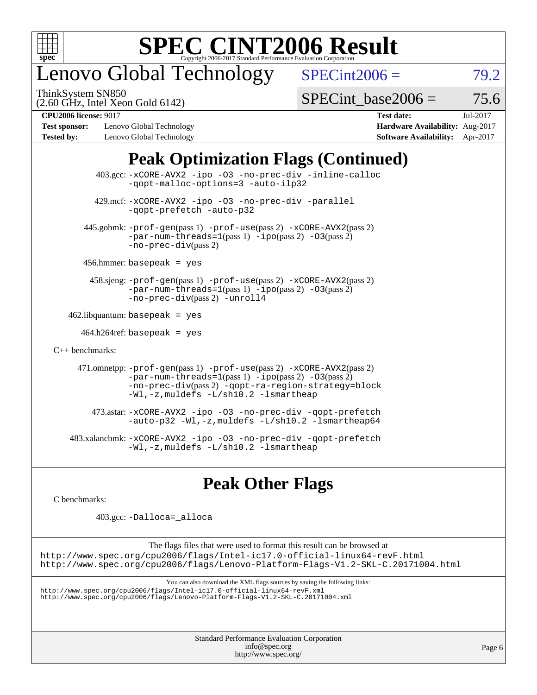

## enovo Global Technology

ThinkSystem SN850

 $SPECint2006 = 79.2$  $SPECint2006 = 79.2$ 

(2.60 GHz, Intel Xeon Gold 6142)

SPECint base2006 =  $75.6$ 

**[Test sponsor:](http://www.spec.org/auto/cpu2006/Docs/result-fields.html#Testsponsor)** Lenovo Global Technology **[Hardware Availability:](http://www.spec.org/auto/cpu2006/Docs/result-fields.html#HardwareAvailability)** Aug-2017 **[Tested by:](http://www.spec.org/auto/cpu2006/Docs/result-fields.html#Testedby)** Lenovo Global Technology **[Software Availability:](http://www.spec.org/auto/cpu2006/Docs/result-fields.html#SoftwareAvailability)** Apr-2017

**[CPU2006 license:](http://www.spec.org/auto/cpu2006/Docs/result-fields.html#CPU2006license)** 9017 **[Test date:](http://www.spec.org/auto/cpu2006/Docs/result-fields.html#Testdate)** Jul-2017

### **[Peak Optimization Flags \(Continued\)](http://www.spec.org/auto/cpu2006/Docs/result-fields.html#PeakOptimizationFlags)**

|                                   | 403.gcc: -xCORE-AVX2 -ipo -03 -no-prec-div -inline-calloc<br>-gopt-malloc-options=3 -auto-ilp32                                                                                                                                               |
|-----------------------------------|-----------------------------------------------------------------------------------------------------------------------------------------------------------------------------------------------------------------------------------------------|
|                                   | 429.mcf: -xCORE-AVX2 -ipo -03 -no-prec-div -parallel<br>-gopt-prefetch -auto-p32                                                                                                                                                              |
|                                   | $445$ .gobmk: $-prof-gen(pass 1)$ $-prof-use(pass 2)$ $-xCORE-AVX2(pass 2)$<br>$-par-num-threads=1(pass 1) -ipo(pass 2) -03(pass 2)$<br>$-no-prec-div(pass 2)$                                                                                |
|                                   | $456.$ hmmer: basepeak = yes                                                                                                                                                                                                                  |
|                                   | 458.sjeng: -prof-gen(pass 1) -prof-use(pass 2) -xCORE-AVX2(pass 2)<br>$-par-num-threads=1(pass 1) -ipo(pass 2) -03(pass 2)$<br>-no-prec-div(pass 2) -unroll4                                                                                  |
| $462$ .libquantum: basepeak = yes |                                                                                                                                                                                                                                               |
|                                   | $464.h264$ ref: basepeak = yes                                                                                                                                                                                                                |
| $C_{++}$ benchmarks:              |                                                                                                                                                                                                                                               |
|                                   | 471.omnetpp: -prof-gen(pass 1) -prof-use(pass 2) -xCORE-AVX2(pass 2)<br>$-par-num-threads = 1 (pass 1) - ipo (pass 2) -03 (pass 2)$<br>-no-prec-div(pass 2) -qopt-ra-region-strategy=block<br>$-Wl$ ,-z, muldefs $-L/\nabla L$ .2 -lsmartheap |
|                                   | 473.astar: -xCORE-AVX2 -ipo -03 -no-prec-div -qopt-prefetch<br>$-$ auto-p32 -Wl,-z, muldefs -L/sh10.2 -lsmartheap64                                                                                                                           |
|                                   | 483.xalancbmk: -xCORE-AVX2 -ipo -03 -no-prec-div -qopt-prefetch<br>$-Wl$ ,-z, muldefs $-L/\nabla L$ .2 -lsmartheap                                                                                                                            |

### **[Peak Other Flags](http://www.spec.org/auto/cpu2006/Docs/result-fields.html#PeakOtherFlags)**

[C benchmarks](http://www.spec.org/auto/cpu2006/Docs/result-fields.html#Cbenchmarks):

403.gcc: [-Dalloca=\\_alloca](http://www.spec.org/cpu2006/results/res2017q4/cpu2006-20170918-50027.flags.html#b403.gcc_peakEXTRA_CFLAGS_Dalloca_be3056838c12de2578596ca5467af7f3)

The flags files that were used to format this result can be browsed at <http://www.spec.org/cpu2006/flags/Intel-ic17.0-official-linux64-revF.html> <http://www.spec.org/cpu2006/flags/Lenovo-Platform-Flags-V1.2-SKL-C.20171004.html>

You can also download the XML flags sources by saving the following links:

<http://www.spec.org/cpu2006/flags/Intel-ic17.0-official-linux64-revF.xml> <http://www.spec.org/cpu2006/flags/Lenovo-Platform-Flags-V1.2-SKL-C.20171004.xml>